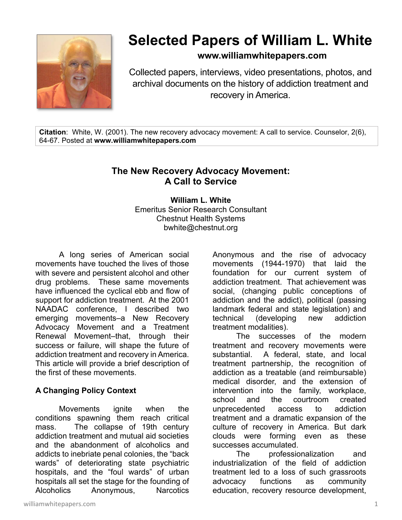

# **Selected Papers of William L. White**

# **www.williamwhitepapers.com**

Collected papers, interviews, video presentations, photos, and archival documents on the history of addiction treatment and recovery in America.

**Citation**: White, W. (2001). The new recovery advocacy movement: A call to service. Counselor, 2(6), 64-67. Posted at **www.williamwhitepapers.com** 

# **The New Recovery Advocacy Movement: A Call to Service**

**William L. White**  Emeritus Senior Research Consultant Chestnut Health Systems bwhite@chestnut.org

A long series of American social movements have touched the lives of those with severe and persistent alcohol and other drug problems. These same movements have influenced the cyclical ebb and flow of support for addiction treatment. At the 2001 NAADAC conference, I described two emerging movements–a New Recovery Advocacy Movement and a Treatment Renewal Movement–that, through their success or failure, will shape the future of addiction treatment and recovery in America. This article will provide a brief description of the first of these movements.

## **A Changing Policy Context**

 Movements ignite when the conditions spawning them reach critical mass. The collapse of 19th century addiction treatment and mutual aid societies and the abandonment of alcoholics and addicts to inebriate penal colonies, the "back wards" of deteriorating state psychiatric hospitals, and the "foul wards" of urban hospitals all set the stage for the founding of Alcoholics Anonymous, Narcotics

Anonymous and the rise of advocacy movements (1944-1970) that laid the foundation for our current system of addiction treatment. That achievement was social, (changing public conceptions of addiction and the addict), political (passing landmark federal and state legislation) and technical (developing new addiction treatment modalities).

 The successes of the modern treatment and recovery movements were substantial. A federal, state, and local treatment partnership, the recognition of addiction as a treatable (and reimbursable) medical disorder, and the extension of intervention into the family, workplace, school and the courtroom created unprecedented access to addiction treatment and a dramatic expansion of the culture of recovery in America. But dark clouds were forming even as these successes accumulated.

 The professionalization and industrialization of the field of addiction treatment led to a loss of such grassroots advocacy functions as community education, recovery resource development,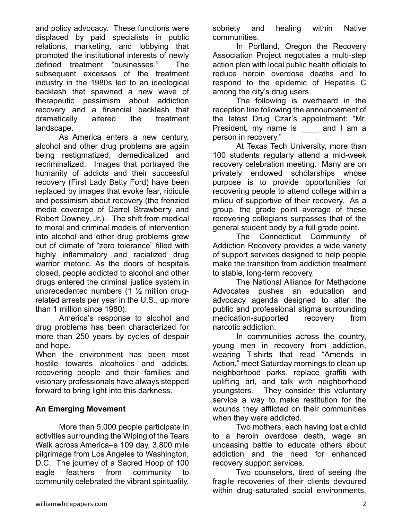and policy advocacy. These functions were displaced by paid specialists in public relations, marketing, and lobbying that promoted the institutional interests of newly defined treatment "businesses." The subsequent excesses of the treatment industry in the 1980s led to an ideological backlash that spawned a new wave of therapeutic pessimism about addiction recovery and a financial backlash that dramatically altered the treatment landscape.

 As America enters a new century, alcohol and other drug problems are again being restigmatized, demedicalized and recriminalized. Images that portrayed the humanity of addicts and their successful recovery (First Lady Betty Ford) have been replaced by images that evoke fear, ridicule and pessimism about recovery (the frenzied media coverage of Darrel Strawberry and Robert Downey, Jr.). The shift from medical to moral and criminal models of intervention into alcohol and other drug problems grew out of climate of "zero tolerance" filled with highly inflammatory and racialized drug warrior rhetoric. As the doors of hospitals closed, people addicted to alcohol and other drugs entered the criminal justice system in unprecedented numbers (1 ½ million drugrelated arrests per year in the U.S., up more than 1 million since 1980).

 America's response to alcohol and drug problems has been characterized for more than 250 years by cycles of despair and hope.

When the environment has been most hostile towards alcoholics and addicts, recovering people and their families and visionary professionals have always stepped forward to bring light into this darkness.

## **An Emerging Movement**

 More than 5,000 people participate in activities surrounding the Wiping of the Tears Walk across America–a 109 day, 3,800 mile pilgrimage from Los Angeles to Washington, D.C. The journey of a Sacred Hoop of 100 eagle feathers from community to community celebrated the vibrant spirituality,

sobriety and healing within Native communities.

 In Portland, Oregon the Recovery Association Project negotiates a multi-step action plan with local public health officials to reduce heroin overdose deaths and to respond to the epidemic of Hepatitis C among the city's drug users.

 The following is overheard in the reception line following the announcement of the latest Drug Czar's appointment: "Mr. President, my name is \_\_\_\_ and I am a person in recovery."

 At Texas Tech University, more than 100 students regularly attend a mid-week recovery celebration meeting. Many are on privately endowed scholarships whose purpose is to provide opportunities for recovering people to attend college within a milieu of supportive of their recovery. As a group, the grade point average of these recovering collegians surpasses that of the general student body by a full grade point.

 The Connecticut Community of Addiction Recovery provides a wide variety of support services designed to help people make the transition from addiction treatment to stable, long-term recovery.

 The National Alliance for Methadone Advocates pushes an education and advocacy agenda designed to alter the public and professional stigma surrounding medication-supported recovery from narcotic addiction.

 In communities across the country, young men in recovery from addiction, wearing T-shirts that read "Amends in Action," meet Saturday mornings to clean up neighborhood parks, replace graffiti with uplifting art, and talk with neighborhood youngsters. They consider this voluntary service a way to make restitution for the wounds they afflicted on their communities when they were addicted.

 Two mothers, each having lost a child to a heroin overdose death, wage an unceasing battle to educate others about addiction and the need for enhanced recovery support services.

 Two counselors, tired of seeing the fragile recoveries of their clients devoured within drug-saturated social environments,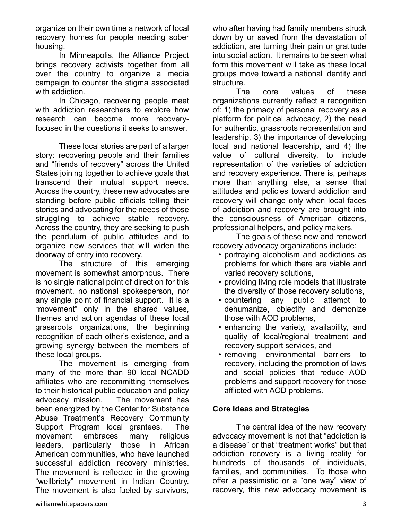organize on their own time a network of local recovery homes for people needing sober housing.

 In Minneapolis, the Alliance Project brings recovery activists together from all over the country to organize a media campaign to counter the stigma associated with addiction.

 In Chicago, recovering people meet with addiction researchers to explore how research can become more recoveryfocused in the questions it seeks to answer.

 These local stories are part of a larger story: recovering people and their families and "friends of recovery" across the United States joining together to achieve goals that transcend their mutual support needs. Across the country, these new advocates are standing before public officials telling their stories and advocating for the needs of those struggling to achieve stable recovery. Across the country, they are seeking to push the pendulum of public attitudes and to organize new services that will widen the doorway of entry into recovery.

 The structure of this emerging movement is somewhat amorphous. There is no single national point of direction for this movement, no national spokesperson, nor any single point of financial support. It is a "movement" only in the shared values, themes and action agendas of these local grassroots organizations, the beginning recognition of each other's existence, and a growing synergy between the members of these local groups.

The movement is emerging from many of the more than 90 local NCADD affiliates who are recommitting themselves to their historical public education and policy advocacy mission. The movement has been energized by the Center for Substance Abuse Treatment's Recovery Community Support Program local grantees. The movement embraces many religious leaders, particularly those in African American communities, who have launched successful addiction recovery ministries. The movement is reflected in the growing "wellbriety" movement in Indian Country. The movement is also fueled by survivors,

who after having had family members struck down by or saved from the devastation of addiction, are turning their pain or gratitude into social action. It remains to be seen what form this movement will take as these local groups move toward a national identity and structure.

 The core values of these organizations currently reflect a recognition of: 1) the primacy of personal recovery as a platform for political advocacy, 2) the need for authentic, grassroots representation and leadership, 3) the importance of developing local and national leadership, and 4) the value of cultural diversity, to include representation of the varieties of addiction and recovery experience. There is, perhaps more than anything else, a sense that attitudes and policies toward addiction and recovery will change only when local faces of addiction and recovery are brought into the consciousness of American citizens, professional helpers, and policy makers.

 The goals of these new and renewed recovery advocacy organizations include:

- portraying alcoholism and addictions as problems for which there are viable and varied recovery solutions,
- providing living role models that illustrate the diversity of those recovery solutions,
- countering any public attempt to dehumanize, objectify and demonize those with AOD problems,
- enhancing the variety, availability, and quality of local/regional treatment and recovery support services, and
- removing environmental barriers to recovery, including the promotion of laws and social policies that reduce AOD problems and support recovery for those afflicted with AOD problems.

## **Core Ideas and Strategies**

 The central idea of the new recovery advocacy movement is not that "addiction is a disease" or that "treatment works" but that addiction recovery is a living reality for hundreds of thousands of individuals, families, and communities. To those who offer a pessimistic or a "one way" view of recovery, this new advocacy movement is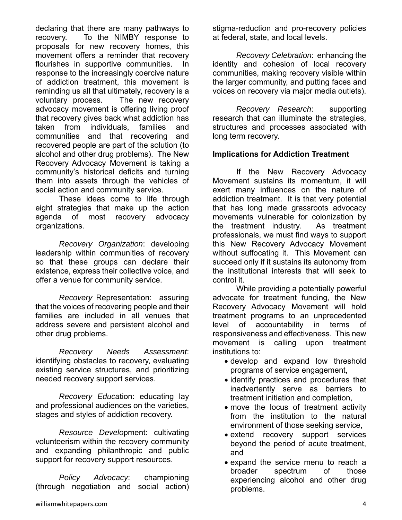declaring that there are many pathways to recovery. To the NIMBY response to proposals for new recovery homes, this movement offers a reminder that recovery flourishes in supportive communities. response to the increasingly coercive nature of addiction treatment, this movement is reminding us all that ultimately, recovery is a voluntary process. The new recovery advocacy movement is offering living proof that recovery gives back what addiction has taken from individuals, families and communities and that recovering and recovered people are part of the solution (to alcohol and other drug problems). The New Recovery Advocacy Movement is taking a community's historical deficits and turning them into assets through the vehicles of social action and community service.

 These ideas come to life through eight strategies that make up the action agenda of most recovery advocacy organizations.

*Recovery Organization*: developing leadership within communities of recovery so that these groups can declare their existence, express their collective voice, and offer a venue for community service.

 *Recovery* Representation: assuring that the voices of recovering people and their families are included in all venues that address severe and persistent alcohol and other drug problems.

*Recovery Needs Assessment*: identifying obstacles to recovery, evaluating existing service structures, and prioritizing needed recovery support services.

*Recovery Educa*tion: educating lay and professional audiences on the varieties, stages and styles of addiction recovery.

*Resource Develo*pment: cultivating volunteerism within the recovery community and expanding philanthropic and public support for recovery support resources.

*Policy Advocacy*: championing (through negotiation and social action)

*Recovery Celebration*: enhancing the identity and cohesion of local recovery communities, making recovery visible within the larger community, and putting faces and voices on recovery via major media outlets).

 *Recovery Research*: supporting research that can illuminate the strategies, structures and processes associated with long term recovery.

### **Implications for Addiction Treatment**

 If the New Recovery Advocacy Movement sustains its momentum, it will exert many influences on the nature of addiction treatment. It is that very potential that has long made grassroots advocacy movements vulnerable for colonization by the treatment industry. As treatment professionals, we must find ways to support this New Recovery Advocacy Movement without suffocating it. This Movement can succeed only if it sustains its autonomy from the institutional interests that will seek to control it.

 While providing a potentially powerful advocate for treatment funding, the New Recovery Advocacy Movement will hold treatment programs to an unprecedented level of accountability in terms of responsiveness and effectiveness. This new movement is calling upon treatment institutions to:

- develop and expand low threshold programs of service engagement,
- identify practices and procedures that inadvertently serve as barriers to treatment initiation and completion,
- move the locus of treatment activity from the institution to the natural environment of those seeking service,
- extend recovery support services beyond the period of acute treatment, and
- expand the service menu to reach a broader spectrum of those experiencing alcohol and other drug problems.